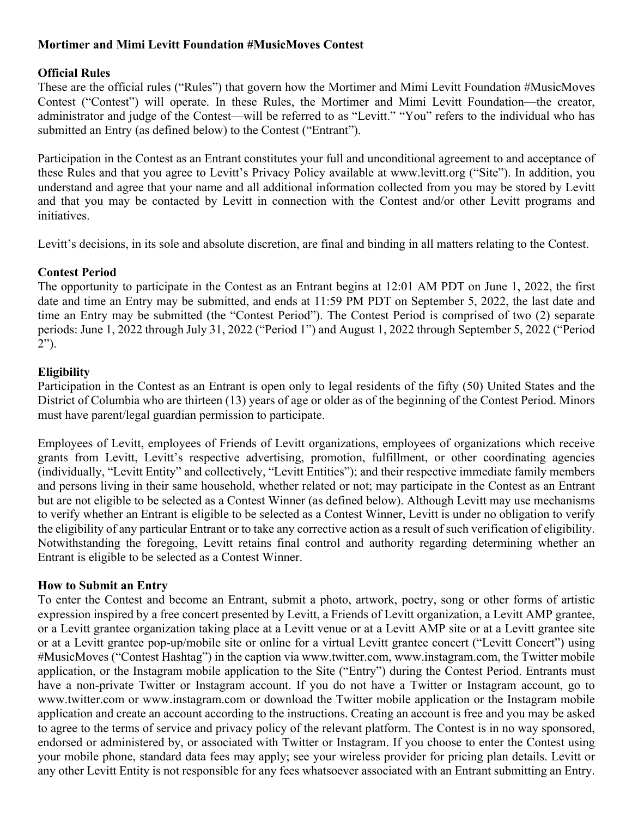## **Mortimer and Mimi Levitt Foundation #MusicMoves Contest**

## **Official Rules**

These are the official rules ("Rules") that govern how the Mortimer and Mimi Levitt Foundation #MusicMoves Contest ("Contest") will operate. In these Rules, the Mortimer and Mimi Levitt Foundation—the creator, administrator and judge of the Contest—will be referred to as "Levitt." "You" refers to the individual who has submitted an Entry (as defined below) to the Contest ("Entrant").

Participation in the Contest as an Entrant constitutes your full and unconditional agreement to and acceptance of these Rules and that you agree to Levitt's Privacy Policy available at www.levitt.org ("Site"). In addition, you understand and agree that your name and all additional information collected from you may be stored by Levitt and that you may be contacted by Levitt in connection with the Contest and/or other Levitt programs and initiatives.

Levitt's decisions, in its sole and absolute discretion, are final and binding in all matters relating to the Contest.

# **Contest Period**

The opportunity to participate in the Contest as an Entrant begins at 12:01 AM PDT on June 1, 2022, the first date and time an Entry may be submitted, and ends at 11:59 PM PDT on September 5, 2022, the last date and time an Entry may be submitted (the "Contest Period"). The Contest Period is comprised of two (2) separate periods: June 1, 2022 through July 31, 2022 ("Period 1") and August 1, 2022 through September 5, 2022 ("Period  $2"$ ).

# **Eligibility**

Participation in the Contest as an Entrant is open only to legal residents of the fifty (50) United States and the District of Columbia who are thirteen (13) years of age or older as of the beginning of the Contest Period. Minors must have parent/legal guardian permission to participate.

Employees of Levitt, employees of Friends of Levitt organizations, employees of organizations which receive grants from Levitt, Levitt's respective advertising, promotion, fulfillment, or other coordinating agencies (individually, "Levitt Entity" and collectively, "Levitt Entities"); and their respective immediate family members and persons living in their same household, whether related or not; may participate in the Contest as an Entrant but are not eligible to be selected as a Contest Winner (as defined below). Although Levitt may use mechanisms to verify whether an Entrant is eligible to be selected as a Contest Winner, Levitt is under no obligation to verify the eligibility of any particular Entrant or to take any corrective action as a result of such verification of eligibility. Notwithstanding the foregoing, Levitt retains final control and authority regarding determining whether an Entrant is eligible to be selected as a Contest Winner.

## **How to Submit an Entry**

To enter the Contest and become an Entrant, submit a photo, artwork, poetry, song or other forms of artistic expression inspired by a free concert presented by Levitt, a Friends of Levitt organization, a Levitt AMP grantee, or a Levitt grantee organization taking place at a Levitt venue or at a Levitt AMP site or at a Levitt grantee site or at a Levitt grantee pop-up/mobile site or online for a virtual Levitt grantee concert ("Levitt Concert") using #MusicMoves ("Contest Hashtag") in the caption via www.twitter.com, www.instagram.com, the Twitter mobile application, or the Instagram mobile application to the Site ("Entry") during the Contest Period. Entrants must have a non-private Twitter or Instagram account. If you do not have a Twitter or Instagram account, go to www.twitter.com or www.instagram.com or download the Twitter mobile application or the Instagram mobile application and create an account according to the instructions. Creating an account is free and you may be asked to agree to the terms of service and privacy policy of the relevant platform. The Contest is in no way sponsored, endorsed or administered by, or associated with Twitter or Instagram. If you choose to enter the Contest using your mobile phone, standard data fees may apply; see your wireless provider for pricing plan details. Levitt or any other Levitt Entity is not responsible for any fees whatsoever associated with an Entrant submitting an Entry.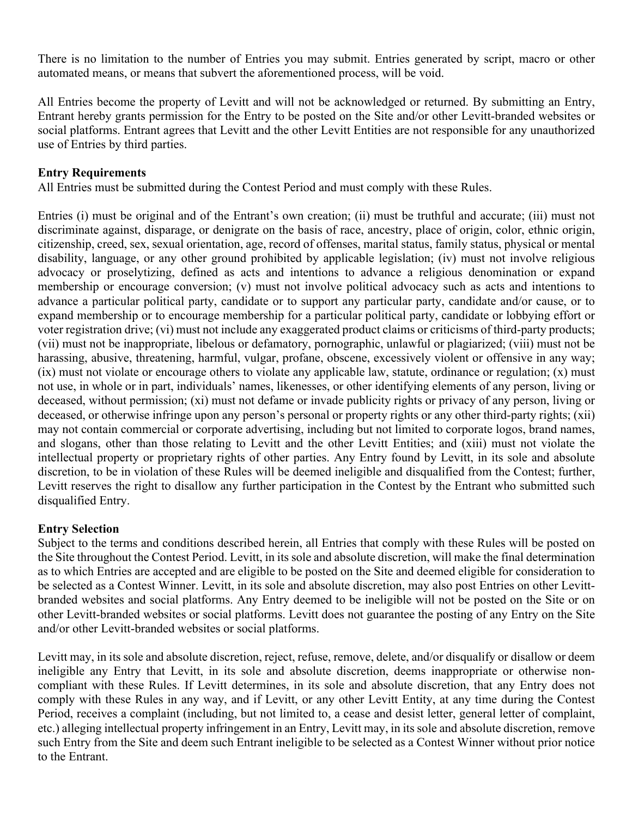There is no limitation to the number of Entries you may submit. Entries generated by script, macro or other automated means, or means that subvert the aforementioned process, will be void.

All Entries become the property of Levitt and will not be acknowledged or returned. By submitting an Entry, Entrant hereby grants permission for the Entry to be posted on the Site and/or other Levitt-branded websites or social platforms. Entrant agrees that Levitt and the other Levitt Entities are not responsible for any unauthorized use of Entries by third parties.

### **Entry Requirements**

All Entries must be submitted during the Contest Period and must comply with these Rules.

Entries (i) must be original and of the Entrant's own creation; (ii) must be truthful and accurate; (iii) must not discriminate against, disparage, or denigrate on the basis of race, ancestry, place of origin, color, ethnic origin, citizenship, creed, sex, sexual orientation, age, record of offenses, marital status, family status, physical or mental disability, language, or any other ground prohibited by applicable legislation; (iv) must not involve religious advocacy or proselytizing, defined as acts and intentions to advance a religious denomination or expand membership or encourage conversion; (v) must not involve political advocacy such as acts and intentions to advance a particular political party, candidate or to support any particular party, candidate and/or cause, or to expand membership or to encourage membership for a particular political party, candidate or lobbying effort or voter registration drive; (vi) must not include any exaggerated product claims or criticisms of third-party products; (vii) must not be inappropriate, libelous or defamatory, pornographic, unlawful or plagiarized; (viii) must not be harassing, abusive, threatening, harmful, vulgar, profane, obscene, excessively violent or offensive in any way; (ix) must not violate or encourage others to violate any applicable law, statute, ordinance or regulation; (x) must not use, in whole or in part, individuals' names, likenesses, or other identifying elements of any person, living or deceased, without permission; (xi) must not defame or invade publicity rights or privacy of any person, living or deceased, or otherwise infringe upon any person's personal or property rights or any other third-party rights; (xii) may not contain commercial or corporate advertising, including but not limited to corporate logos, brand names, and slogans, other than those relating to Levitt and the other Levitt Entities; and (xiii) must not violate the intellectual property or proprietary rights of other parties. Any Entry found by Levitt, in its sole and absolute discretion, to be in violation of these Rules will be deemed ineligible and disqualified from the Contest; further, Levitt reserves the right to disallow any further participation in the Contest by the Entrant who submitted such disqualified Entry.

#### **Entry Selection**

Subject to the terms and conditions described herein, all Entries that comply with these Rules will be posted on the Site throughout the Contest Period. Levitt, in its sole and absolute discretion, will make the final determination as to which Entries are accepted and are eligible to be posted on the Site and deemed eligible for consideration to be selected as a Contest Winner. Levitt, in its sole and absolute discretion, may also post Entries on other Levittbranded websites and social platforms. Any Entry deemed to be ineligible will not be posted on the Site or on other Levitt-branded websites or social platforms. Levitt does not guarantee the posting of any Entry on the Site and/or other Levitt-branded websites or social platforms.

Levitt may, in its sole and absolute discretion, reject, refuse, remove, delete, and/or disqualify or disallow or deem ineligible any Entry that Levitt, in its sole and absolute discretion, deems inappropriate or otherwise noncompliant with these Rules. If Levitt determines, in its sole and absolute discretion, that any Entry does not comply with these Rules in any way, and if Levitt, or any other Levitt Entity, at any time during the Contest Period, receives a complaint (including, but not limited to, a cease and desist letter, general letter of complaint, etc.) alleging intellectual property infringement in an Entry, Levitt may, in its sole and absolute discretion, remove such Entry from the Site and deem such Entrant ineligible to be selected as a Contest Winner without prior notice to the Entrant.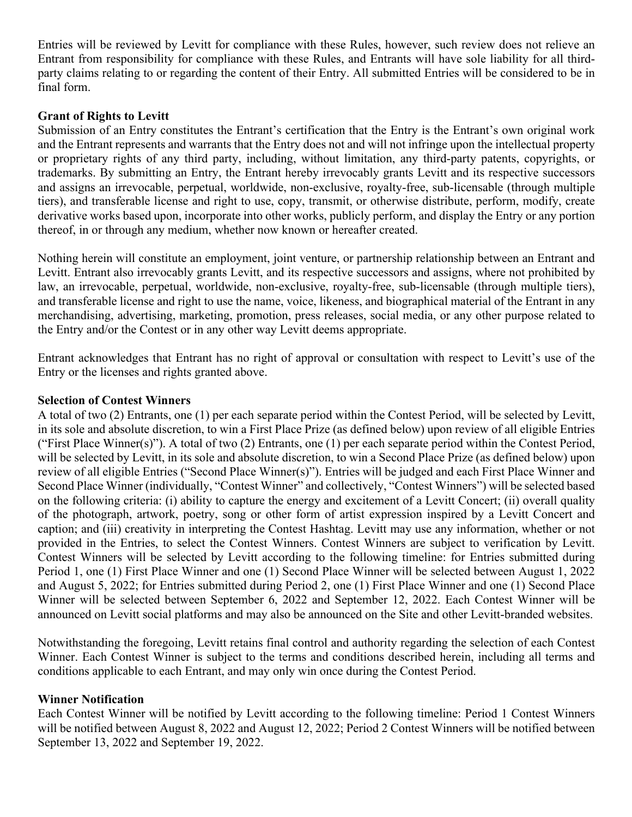Entries will be reviewed by Levitt for compliance with these Rules, however, such review does not relieve an Entrant from responsibility for compliance with these Rules, and Entrants will have sole liability for all thirdparty claims relating to or regarding the content of their Entry. All submitted Entries will be considered to be in final form.

### **Grant of Rights to Levitt**

Submission of an Entry constitutes the Entrant's certification that the Entry is the Entrant's own original work and the Entrant represents and warrants that the Entry does not and will not infringe upon the intellectual property or proprietary rights of any third party, including, without limitation, any third-party patents, copyrights, or trademarks. By submitting an Entry, the Entrant hereby irrevocably grants Levitt and its respective successors and assigns an irrevocable, perpetual, worldwide, non-exclusive, royalty-free, sub-licensable (through multiple tiers), and transferable license and right to use, copy, transmit, or otherwise distribute, perform, modify, create derivative works based upon, incorporate into other works, publicly perform, and display the Entry or any portion thereof, in or through any medium, whether now known or hereafter created.

Nothing herein will constitute an employment, joint venture, or partnership relationship between an Entrant and Levitt. Entrant also irrevocably grants Levitt, and its respective successors and assigns, where not prohibited by law, an irrevocable, perpetual, worldwide, non-exclusive, royalty-free, sub-licensable (through multiple tiers), and transferable license and right to use the name, voice, likeness, and biographical material of the Entrant in any merchandising, advertising, marketing, promotion, press releases, social media, or any other purpose related to the Entry and/or the Contest or in any other way Levitt deems appropriate.

Entrant acknowledges that Entrant has no right of approval or consultation with respect to Levitt's use of the Entry or the licenses and rights granted above.

#### **Selection of Contest Winners**

A total of two (2) Entrants, one (1) per each separate period within the Contest Period, will be selected by Levitt, in its sole and absolute discretion, to win a First Place Prize (as defined below) upon review of all eligible Entries ("First Place Winner(s)"). A total of two (2) Entrants, one (1) per each separate period within the Contest Period, will be selected by Levitt, in its sole and absolute discretion, to win a Second Place Prize (as defined below) upon review of all eligible Entries ("Second Place Winner(s)"). Entries will be judged and each First Place Winner and Second Place Winner (individually, "Contest Winner" and collectively, "Contest Winners") will be selected based on the following criteria: (i) ability to capture the energy and excitement of a Levitt Concert; (ii) overall quality of the photograph, artwork, poetry, song or other form of artist expression inspired by a Levitt Concert and caption; and (iii) creativity in interpreting the Contest Hashtag. Levitt may use any information, whether or not provided in the Entries, to select the Contest Winners. Contest Winners are subject to verification by Levitt. Contest Winners will be selected by Levitt according to the following timeline: for Entries submitted during Period 1, one (1) First Place Winner and one (1) Second Place Winner will be selected between August 1, 2022 and August 5, 2022; for Entries submitted during Period 2, one (1) First Place Winner and one (1) Second Place Winner will be selected between September 6, 2022 and September 12, 2022. Each Contest Winner will be announced on Levitt social platforms and may also be announced on the Site and other Levitt-branded websites.

Notwithstanding the foregoing, Levitt retains final control and authority regarding the selection of each Contest Winner. Each Contest Winner is subject to the terms and conditions described herein, including all terms and conditions applicable to each Entrant, and may only win once during the Contest Period.

#### **Winner Notification**

Each Contest Winner will be notified by Levitt according to the following timeline: Period 1 Contest Winners will be notified between August 8, 2022 and August 12, 2022; Period 2 Contest Winners will be notified between September 13, 2022 and September 19, 2022.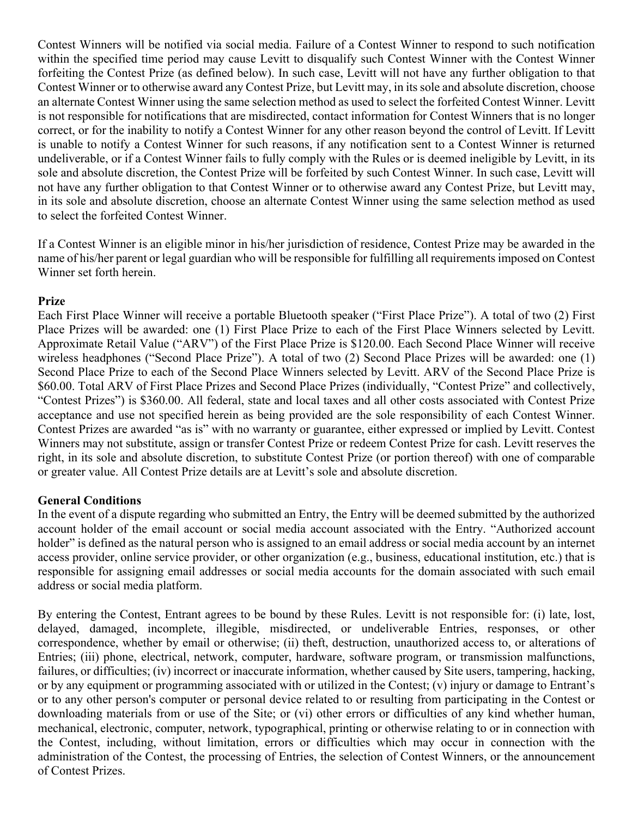Contest Winners will be notified via social media. Failure of a Contest Winner to respond to such notification within the specified time period may cause Levitt to disqualify such Contest Winner with the Contest Winner forfeiting the Contest Prize (as defined below). In such case, Levitt will not have any further obligation to that Contest Winner or to otherwise award any Contest Prize, but Levitt may, in its sole and absolute discretion, choose an alternate Contest Winner using the same selection method as used to select the forfeited Contest Winner. Levitt is not responsible for notifications that are misdirected, contact information for Contest Winners that is no longer correct, or for the inability to notify a Contest Winner for any other reason beyond the control of Levitt. If Levitt is unable to notify a Contest Winner for such reasons, if any notification sent to a Contest Winner is returned undeliverable, or if a Contest Winner fails to fully comply with the Rules or is deemed ineligible by Levitt, in its sole and absolute discretion, the Contest Prize will be forfeited by such Contest Winner. In such case, Levitt will not have any further obligation to that Contest Winner or to otherwise award any Contest Prize, but Levitt may, in its sole and absolute discretion, choose an alternate Contest Winner using the same selection method as used to select the forfeited Contest Winner.

If a Contest Winner is an eligible minor in his/her jurisdiction of residence, Contest Prize may be awarded in the name of his/her parent or legal guardian who will be responsible for fulfilling all requirements imposed on Contest Winner set forth herein.

## **Prize**

Each First Place Winner will receive a portable Bluetooth speaker ("First Place Prize"). A total of two (2) First Place Prizes will be awarded: one (1) First Place Prize to each of the First Place Winners selected by Levitt. Approximate Retail Value ("ARV") of the First Place Prize is \$120.00. Each Second Place Winner will receive wireless headphones ("Second Place Prize"). A total of two (2) Second Place Prizes will be awarded: one (1) Second Place Prize to each of the Second Place Winners selected by Levitt. ARV of the Second Place Prize is \$60.00. Total ARV of First Place Prizes and Second Place Prizes (individually, "Contest Prize" and collectively, "Contest Prizes") is \$360.00. All federal, state and local taxes and all other costs associated with Contest Prize acceptance and use not specified herein as being provided are the sole responsibility of each Contest Winner. Contest Prizes are awarded "as is" with no warranty or guarantee, either expressed or implied by Levitt. Contest Winners may not substitute, assign or transfer Contest Prize or redeem Contest Prize for cash. Levitt reserves the right, in its sole and absolute discretion, to substitute Contest Prize (or portion thereof) with one of comparable or greater value. All Contest Prize details are at Levitt's sole and absolute discretion.

## **General Conditions**

In the event of a dispute regarding who submitted an Entry, the Entry will be deemed submitted by the authorized account holder of the email account or social media account associated with the Entry. "Authorized account holder" is defined as the natural person who is assigned to an email address or social media account by an internet access provider, online service provider, or other organization (e.g., business, educational institution, etc.) that is responsible for assigning email addresses or social media accounts for the domain associated with such email address or social media platform.

By entering the Contest, Entrant agrees to be bound by these Rules. Levitt is not responsible for: (i) late, lost, delayed, damaged, incomplete, illegible, misdirected, or undeliverable Entries, responses, or other correspondence, whether by email or otherwise; (ii) theft, destruction, unauthorized access to, or alterations of Entries; (iii) phone, electrical, network, computer, hardware, software program, or transmission malfunctions, failures, or difficulties; (iv) incorrect or inaccurate information, whether caused by Site users, tampering, hacking, or by any equipment or programming associated with or utilized in the Contest; (v) injury or damage to Entrant's or to any other person's computer or personal device related to or resulting from participating in the Contest or downloading materials from or use of the Site; or (vi) other errors or difficulties of any kind whether human, mechanical, electronic, computer, network, typographical, printing or otherwise relating to or in connection with the Contest, including, without limitation, errors or difficulties which may occur in connection with the administration of the Contest, the processing of Entries, the selection of Contest Winners, or the announcement of Contest Prizes.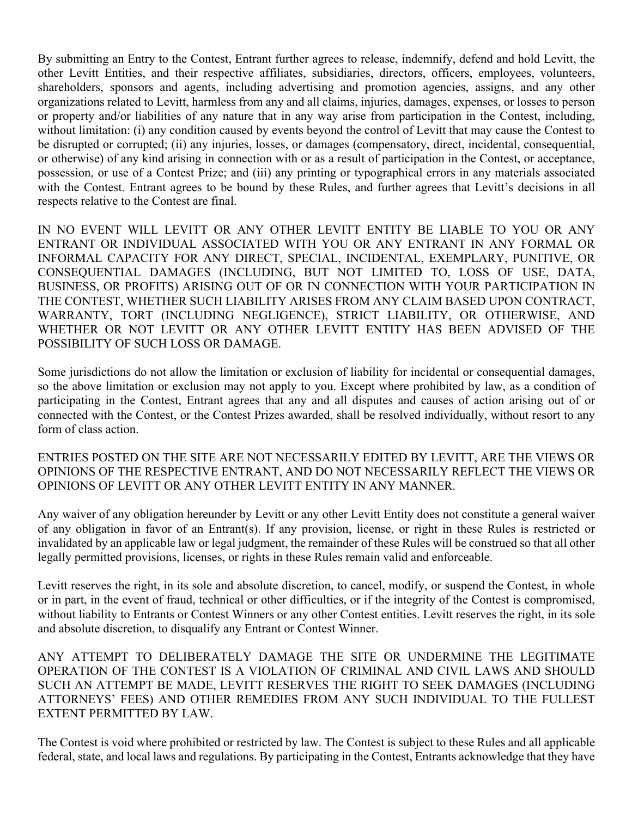By submitting an Entry to the Contest, Entrant further agrees to release, indemnify, defend and hold Levitt, the other Levitt Entities, and their respective affiliates, subsidiaries, directors, officers, employees, volunteers, shareholders, sponsors and agents, including advertising and promotion agencies, assigns, and any other organizations related to Levitt, harmless from any and all claims, injuries, damages, expenses, or losses to person or property and/or liabilities of any nature that in any way arise from participation in the Contest, including, without limitation: (i) any condition caused by events beyond the control of Levitt that may cause the Contest to be disrupted or corrupted; (ii) any injuries, losses, or damages (compensatory, direct, incidental, consequential, or otherwise) of any kind arising in connection with or as a result of participation in the Contest, or acceptance, possession, or use of a Contest Prize; and (iii) any printing or typographical errors in any materials associated with the Contest. Entrant agrees to be bound by these Rules, and further agrees that Levitt's decisions in all respects relative to the Contest are final.

IN NO EVENT WILL LEVITT OR ANY OTHER LEVITT ENTITY BE LIABLE TO YOU OR ANY ENTRANT OR INDIVIDUAL ASSOCIATED WITH YOU OR ANY ENTRANT IN ANY FORMAL OR INFORMAL CAPACITY FOR ANY DIRECT, SPECIAL, INCIDENTAL, EXEMPLARY, PUNITIVE, OR CONSEQUENTIAL DAMAGES (INCLUDING, BUT NOT LIMITED TO, LOSS OF USE, DATA, BUSINESS, OR PROFITS) ARISING OUT OF OR IN CONNECTION WITH YOUR PARTICIPATION IN THE CONTEST, WHETHER SUCH LIABILITY ARISES FROM ANY CLAIM BASED UPON CONTRACT, WARRANTY, TORT (INCLUDING NEGLIGENCE), STRICT LIABILITY, OR OTHERWISE, AND WHETHER OR NOT LEVITT OR ANY OTHER LEVITT ENTITY HAS BEEN ADVISED OF THE POSSIBILITY OF SUCH LOSS OR DAMAGE.

Some jurisdictions do not allow the limitation or exclusion of liability for incidental or consequential damages, so the above limitation or exclusion may not apply to you. Except where prohibited by law, as a condition of participating in the Contest, Entrant agrees that any and all disputes and causes of action arising out of or connected with the Contest, or the Contest Prizes awarded, shall be resolved individually, without resort to any form of class action.

ENTRIES POSTED ON THE SITE ARE NOT NECESSARILY EDITED BY LEVITT, ARE THE VIEWS OR OPINIONS OF THE RESPECTIVE ENTRANT, AND DO NOT NECESSARILY REFLECT THE VIEWS OR OPINIONS OF LEVITT OR ANY OTHER LEVITT ENTITY IN ANY MANNER.

Any waiver of any obligation hereunder by Levitt or any other Levitt Entity does not constitute a general waiver of any obligation in favor of an Entrant(s). If any provision, license, or right in these Rules is restricted or invalidated by an applicable law or legal judgment, the remainder of these Rules will be construed so that all other legally permitted provisions, licenses, or rights in these Rules remain valid and enforceable.

Levitt reserves the right, in its sole and absolute discretion, to cancel, modify, or suspend the Contest, in whole or in part, in the event of fraud, technical or other difficulties, or if the integrity of the Contest is compromised, without liability to Entrants or Contest Winners or any other Contest entities. Levitt reserves the right, in its sole and absolute discretion, to disqualify any Entrant or Contest Winner.

ANY ATTEMPT TO DELIBERATELY DAMAGE THE SITE OR UNDERMINE THE LEGITIMATE OPERATION OF THE CONTEST IS A VIOLATION OF CRIMINAL AND CIVIL LAWS AND SHOULD SUCH AN ATTEMPT BE MADE, LEVITT RESERVES THE RIGHT TO SEEK DAMAGES (INCLUDING ATTORNEYS' FEES) AND OTHER REMEDIES FROM ANY SUCH INDIVIDUAL TO THE FULLEST EXTENT PERMITTED BY LAW.

The Contest is void where prohibited or restricted by law. The Contest is subject to these Rules and all applicable federal, state, and local laws and regulations. By participating in the Contest, Entrants acknowledge that they have